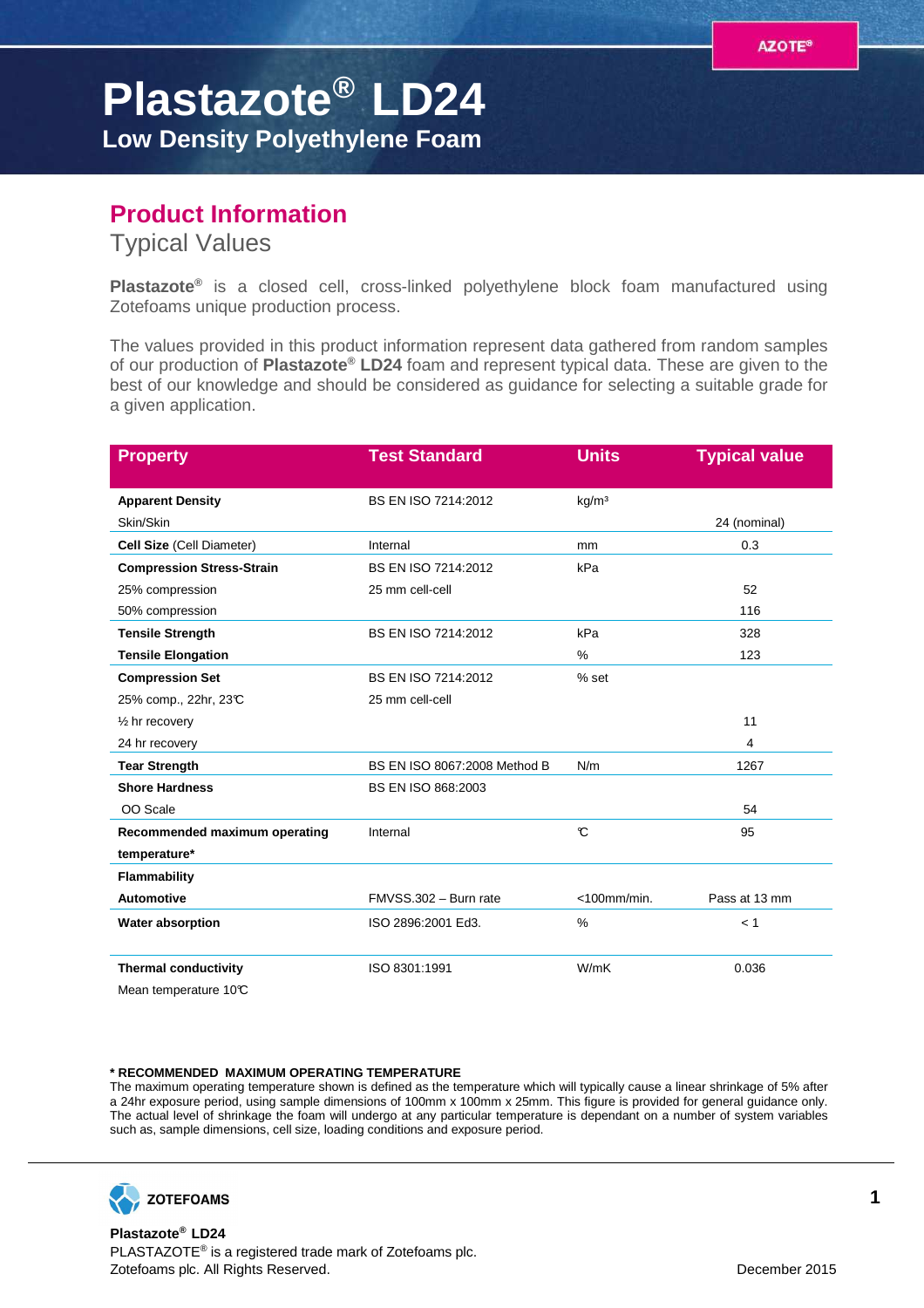## **Plastazote® LD24 Low Density Polyethylene Foam**

## **Product Information**

Typical Values

**Plastazote®** is a closed cell, cross-linked polyethylene block foam manufactured using Zotefoams unique production process.

The values provided in this product information represent data gathered from random samples of our production of **Plastazote® LD24** foam and represent typical data. These are given to the best of our knowledge and should be considered as guidance for selecting a suitable grade for a given application.

| <b>Property</b>                  | <b>Test Standard</b>         | <b>Units</b>      | <b>Typical value</b> |
|----------------------------------|------------------------------|-------------------|----------------------|
| <b>Apparent Density</b>          | BS EN ISO 7214:2012          | kg/m <sup>3</sup> |                      |
| Skin/Skin                        |                              |                   | 24 (nominal)         |
| Cell Size (Cell Diameter)        | Internal                     | mm                | 0.3                  |
| <b>Compression Stress-Strain</b> | BS EN ISO 7214:2012          | kPa               |                      |
| 25% compression                  | 25 mm cell-cell              |                   | 52                   |
| 50% compression                  |                              |                   | 116                  |
| <b>Tensile Strength</b>          | BS EN ISO 7214:2012          | kPa               | 328                  |
| <b>Tensile Elongation</b>        |                              | %                 | 123                  |
| <b>Compression Set</b>           | BS EN ISO 7214:2012          | % set             |                      |
| 25% comp., 22hr, 23°C            | 25 mm cell-cell              |                   |                      |
| $\frac{1}{2}$ hr recovery        |                              |                   | 11                   |
| 24 hr recovery                   |                              |                   | 4                    |
| <b>Tear Strength</b>             | BS EN ISO 8067:2008 Method B | N/m               | 1267                 |
| <b>Shore Hardness</b>            | BS EN ISO 868:2003           |                   |                      |
| OO Scale                         |                              |                   | 54                   |
| Recommended maximum operating    | Internal                     | $\mathcal{C}$     | 95                   |
| temperature*                     |                              |                   |                      |
| Flammability                     |                              |                   |                      |
| <b>Automotive</b>                | FMVSS.302 - Burn rate        | $<$ 100mm/min.    | Pass at 13 mm        |
| <b>Water absorption</b>          | ISO 2896:2001 Ed3.           | $\frac{0}{0}$     | < 1                  |
| <b>Thermal conductivity</b>      | ISO 8301:1991                | W/mK              | 0.036                |
| Mean temperature 10°C            |                              |                   |                      |

## **\* RECOMMENDED MAXIMUM OPERATING TEMPERATURE**

The maximum operating temperature shown is defined as the temperature which will typically cause a linear shrinkage of 5% after a 24hr exposure period, using sample dimensions of 100mm x 100mm x 25mm. This figure is provided for general guidance only. The actual level of shrinkage the foam will undergo at any particular temperature is dependant on a number of system variables such as, sample dimensions, cell size, loading conditions and exposure period.



**Plastazote® LD24** PLASTAZOTE® is a registered trade mark of Zotefoams plc. Zotefoams plc. All Rights Reserved. December 2015